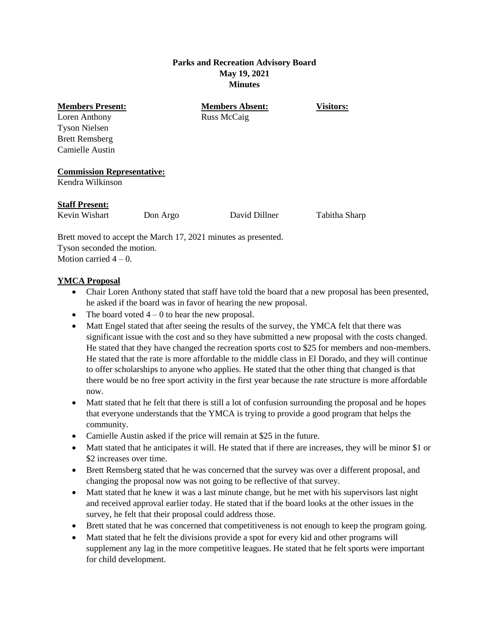### **Parks and Recreation Advisory Board May 19, 2021 Minutes**

Loren Anthony Russ McCaig Tyson Nielsen Brett Remsberg Camielle Austin

**Members Present: Members Absent: Visitors:**

#### **Commission Representative:**

Kendra Wilkinson

#### **Staff Present:**

Kevin Wishart Don Argo David Dillner Tabitha Sharp

Brett moved to accept the March 17, 2021 minutes as presented. Tyson seconded the motion. Motion carried  $4 - 0$ .

## **YMCA Proposal**

- Chair Loren Anthony stated that staff have told the board that a new proposal has been presented, he asked if the board was in favor of hearing the new proposal.
- The board voted  $4 0$  to hear the new proposal.
- Matt Engel stated that after seeing the results of the survey, the YMCA felt that there was significant issue with the cost and so they have submitted a new proposal with the costs changed. He stated that they have changed the recreation sports cost to \$25 for members and non-members. He stated that the rate is more affordable to the middle class in El Dorado, and they will continue to offer scholarships to anyone who applies. He stated that the other thing that changed is that there would be no free sport activity in the first year because the rate structure is more affordable now.
- Matt stated that he felt that there is still a lot of confusion surrounding the proposal and he hopes that everyone understands that the YMCA is trying to provide a good program that helps the community.
- Camielle Austin asked if the price will remain at \$25 in the future.
- Matt stated that he anticipates it will. He stated that if there are increases, they will be minor \$1 or \$2 increases over time.
- Brett Remsberg stated that he was concerned that the survey was over a different proposal, and changing the proposal now was not going to be reflective of that survey.
- Matt stated that he knew it was a last minute change, but he met with his supervisors last night and received approval earlier today. He stated that if the board looks at the other issues in the survey, he felt that their proposal could address those.
- Brett stated that he was concerned that competitiveness is not enough to keep the program going.
- Matt stated that he felt the divisions provide a spot for every kid and other programs will supplement any lag in the more competitive leagues. He stated that he felt sports were important for child development.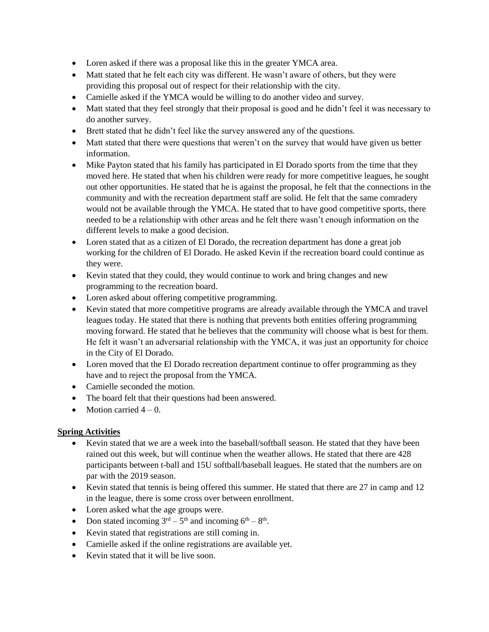- Loren asked if there was a proposal like this in the greater YMCA area.
- Matt stated that he felt each city was different. He wasn't aware of others, but they were providing this proposal out of respect for their relationship with the city.
- Camielle asked if the YMCA would be willing to do another video and survey.
- Matt stated that they feel strongly that their proposal is good and he didn't feel it was necessary to do another survey.
- Brett stated that he didn't feel like the survey answered any of the questions.
- Matt stated that there were questions that weren't on the survey that would have given us better information.
- Mike Payton stated that his family has participated in El Dorado sports from the time that they moved here. He stated that when his children were ready for more competitive leagues, he sought out other opportunities. He stated that he is against the proposal, he felt that the connections in the community and with the recreation department staff are solid. He felt that the same comradery would not be available through the YMCA. He stated that to have good competitive sports, there needed to be a relationship with other areas and he felt there wasn't enough information on the different levels to make a good decision.
- Loren stated that as a citizen of El Dorado, the recreation department has done a great job working for the children of El Dorado. He asked Kevin if the recreation board could continue as they were.
- Kevin stated that they could, they would continue to work and bring changes and new programming to the recreation board.
- Loren asked about offering competitive programming.
- Kevin stated that more competitive programs are already available through the YMCA and travel leagues today. He stated that there is nothing that prevents both entities offering programming moving forward. He stated that he believes that the community will choose what is best for them. He felt it wasn't an adversarial relationship with the YMCA, it was just an opportunity for choice in the City of El Dorado.
- Loren moved that the El Dorado recreation department continue to offer programming as they have and to reject the proposal from the YMCA.
- Camielle seconded the motion.
- The board felt that their questions had been answered.
- $\bullet$  Motion carried  $4-0$ .

## **Spring Activities**

- Kevin stated that we are a week into the baseball/softball season. He stated that they have been rained out this week, but will continue when the weather allows. He stated that there are 428 participants between t-ball and 15U softball/baseball leagues. He stated that the numbers are on par with the 2019 season.
- Kevin stated that tennis is being offered this summer. He stated that there are 27 in camp and 12 in the league, there is some cross over between enrollment.
- Loren asked what the age groups were.
- Don stated incoming  $3<sup>rd</sup> 5<sup>th</sup>$  and incoming  $6<sup>th</sup> 8<sup>th</sup>$ .
- Kevin stated that registrations are still coming in.
- Camielle asked if the online registrations are available yet.
- Kevin stated that it will be live soon.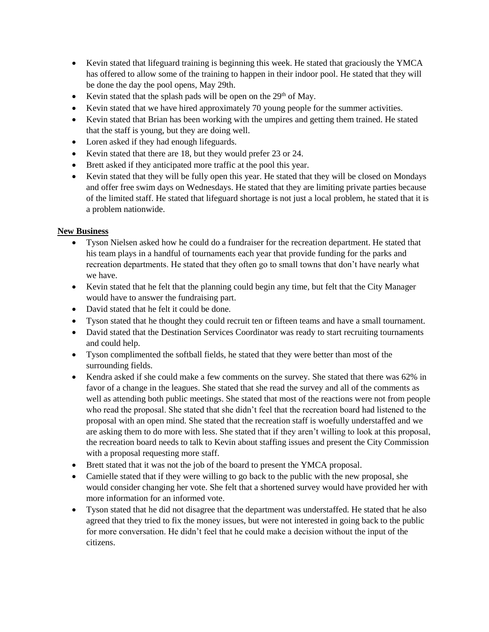- Kevin stated that lifeguard training is beginning this week. He stated that graciously the YMCA has offered to allow some of the training to happen in their indoor pool. He stated that they will be done the day the pool opens, May 29th.
- Evin stated that the splash pads will be open on the  $29<sup>th</sup>$  of May.
- Kevin stated that we have hired approximately 70 young people for the summer activities.
- Kevin stated that Brian has been working with the umpires and getting them trained. He stated that the staff is young, but they are doing well.
- Loren asked if they had enough lifeguards.
- Kevin stated that there are 18, but they would prefer 23 or 24.
- Brett asked if they anticipated more traffic at the pool this year.
- Kevin stated that they will be fully open this year. He stated that they will be closed on Mondays and offer free swim days on Wednesdays. He stated that they are limiting private parties because of the limited staff. He stated that lifeguard shortage is not just a local problem, he stated that it is a problem nationwide.

# **New Business**

- Tyson Nielsen asked how he could do a fundraiser for the recreation department. He stated that his team plays in a handful of tournaments each year that provide funding for the parks and recreation departments. He stated that they often go to small towns that don't have nearly what we have.
- Kevin stated that he felt that the planning could begin any time, but felt that the City Manager would have to answer the fundraising part.
- David stated that he felt it could be done.
- Tyson stated that he thought they could recruit ten or fifteen teams and have a small tournament.
- David stated that the Destination Services Coordinator was ready to start recruiting tournaments and could help.
- Tyson complimented the softball fields, he stated that they were better than most of the surrounding fields.
- Kendra asked if she could make a few comments on the survey. She stated that there was 62% in favor of a change in the leagues. She stated that she read the survey and all of the comments as well as attending both public meetings. She stated that most of the reactions were not from people who read the proposal. She stated that she didn't feel that the recreation board had listened to the proposal with an open mind. She stated that the recreation staff is woefully understaffed and we are asking them to do more with less. She stated that if they aren't willing to look at this proposal, the recreation board needs to talk to Kevin about staffing issues and present the City Commission with a proposal requesting more staff.
- Brett stated that it was not the job of the board to present the YMCA proposal.
- Camielle stated that if they were willing to go back to the public with the new proposal, she would consider changing her vote. She felt that a shortened survey would have provided her with more information for an informed vote.
- Tyson stated that he did not disagree that the department was understaffed. He stated that he also agreed that they tried to fix the money issues, but were not interested in going back to the public for more conversation. He didn't feel that he could make a decision without the input of the citizens.